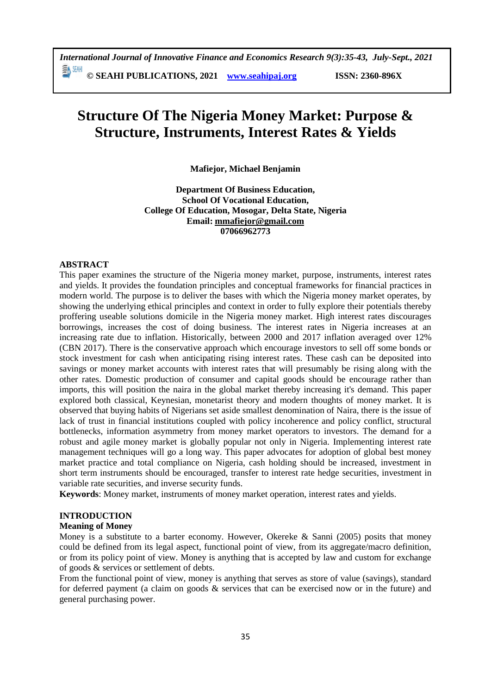# **Structure Of The Nigeria Money Market: Purpose & Structure, Instruments, Interest Rates & Yields**

**Mafiejor, Michael Benjamin** 

**Department Of Business Education, School Of Vocational Education, College Of Education, Mosogar, Delta State, Nigeria Email: [mmafiejor@gmail.com](mailto:mmafiejor@gmail.com) 07066962773**

### **ABSTRACT**

This paper examines the structure of the Nigeria money market, purpose, instruments, interest rates and yields. It provides the foundation principles and conceptual frameworks for financial practices in modern world. The purpose is to deliver the bases with which the Nigeria money market operates, by showing the underlying ethical principles and context in order to fully explore their potentials thereby proffering useable solutions domicile in the Nigeria money market. High interest rates discourages borrowings, increases the cost of doing business. The interest rates in Nigeria increases at an increasing rate due to inflation. Historically, between 2000 and 2017 inflation averaged over 12% (CBN 2017). There is the conservative approach which encourage investors to sell off some bonds or stock investment for cash when anticipating rising interest rates. These cash can be deposited into savings or money market accounts with interest rates that will presumably be rising along with the other rates. Domestic production of consumer and capital goods should be encourage rather than imports, this will position the naira in the global market thereby increasing it's demand. This paper explored both classical, Keynesian, monetarist theory and modern thoughts of money market. It is observed that buying habits of Nigerians set aside smallest denomination of Naira, there is the issue of lack of trust in financial institutions coupled with policy incoherence and policy conflict, structural bottlenecks, information asymmetry from money market operators to investors. The demand for a robust and agile money market is globally popular not only in Nigeria. Implementing interest rate management techniques will go a long way. This paper advocates for adoption of global best money market practice and total compliance on Nigeria, cash holding should be increased, investment in short term instruments should be encouraged, transfer to interest rate hedge securities, investment in variable rate securities, and inverse security funds.

**Keywords**: Money market, instruments of money market operation, interest rates and yields.

### **INTRODUCTION**

### **Meaning of Money**

Money is a substitute to a barter economy. However, Okereke & Sanni (2005) posits that money could be defined from its legal aspect, functional point of view, from its aggregate/macro definition, or from its policy point of view. Money is anything that is accepted by law and custom for exchange of goods & services or settlement of debts.

From the functional point of view, money is anything that serves as store of value (savings), standard for deferred payment (a claim on goods & services that can be exercised now or in the future) and general purchasing power.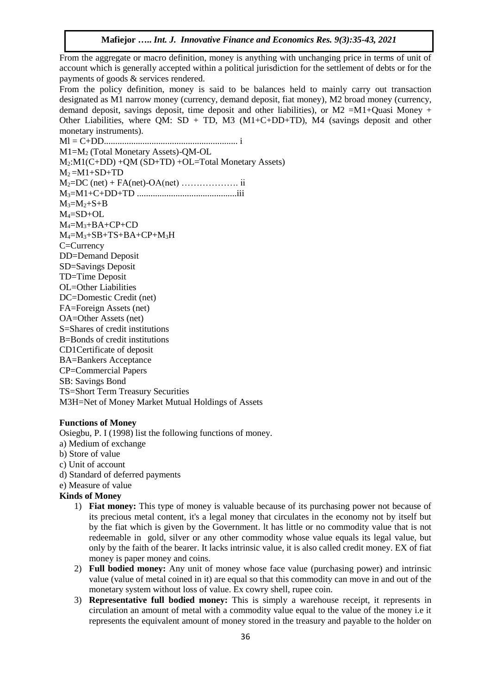**Mafiejor …..** *Int. J. Innovative Finance and Economics Res. 9(3):35-43, 2021*

From the aggregate or macro definition, money is anything with unchanging price in terms of unit of account which is generally accepted within a political jurisdiction for the settlement of debts or for the payments of goods & services rendered.

From the policy definition, money is said to be balances held to mainly carry out transaction designated as M1 narrow money (currency, demand deposit, fiat money), M2 broad money (currency, demand deposit, savings deposit, time deposit and other liabilities), or M2 =M1+Quasi Money + Other Liabilities, where QM:  $SD + TD$ , M3 (M1+C+DD+TD), M4 (savings deposit and other monetary instruments).

Ml = C+DD........................................................... i M1=M<sup>2</sup> (Total Monetary Assets)-QM-OL M2:M1(C+DD) +QM (SD+TD) +OL=Total Monetary Assets)  $M_2 = M1 + SD + TD$ M2=DC (net) + FA(net)-OA(net) ………………. ii M3=M1+C+DD+TD ............................................iii  $M_3 = M_2 + S + B$  $M_4 = SD + OL$ M4=M3+BA+CP+CD M4=M3+SB+TS+BA+CP+M3H C=Currency DD=Demand Deposit SD=Savings Deposit TD=Time Deposit OL=Other Liabilities DC=Domestic Credit (net) FA=Foreign Assets (net) OA=Other Assets (net) S=Shares of credit institutions B=Bonds of credit institutions CD1Certificate of deposit BA=Bankers Acceptance CP=Commercial Papers SB: Savings Bond TS=Short Term Treasury Securities M3H=Net of Money Market Mutual Holdings of Assets

#### **Functions of Money**

Osiegbu, P. I (1998) list the following functions of money.

- a) Medium of exchange
- b) Store of value
- c) Unit of account
- d) Standard of deferred payments
- e) Measure of value

#### **Kinds of Money**

- 1) **Fiat money:** This type of money is valuable because of its purchasing power not because of its precious metal content, it's a legal money that circulates in the economy not by itself but by the fiat which is given by the Government. lt has little or no commodity value that is not redeemable in gold, silver or any other commodity whose value equals its legal value, but only by the faith of the bearer. It lacks intrinsic value, it is also called credit money. EX of fiat money is paper money and coins.
- 2) **Full bodied money:** Any unit of money whose face value (purchasing power) and intrinsic value (value of metal coined in it) are equal so that this commodity can move in and out of the monetary system without loss of value. Ex cowry shell, rupee coin.
- 3) **Representative full bodied money:** This is simply a warehouse receipt, it represents in circulation an amount of metal with a commodity value equal to the value of the money i.e it represents the equivalent amount of money stored in the treasury and payable to the holder on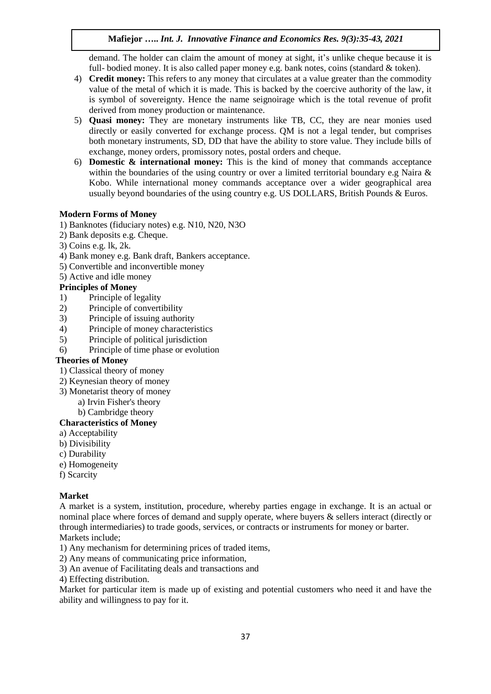# **Mafiejor …..** *Int. J. Innovative Finance and Economics Res. 9(3):35-43, 2021*

demand. The holder can claim the amount of money at sight, it's unlike cheque because it is full- bodied money. It is also called paper money e.g. bank notes, coins (standard & token).

- 4) **Credit money:** This refers to any money that circulates at a value greater than the commodity value of the metal of which it is made. This is backed by the coercive authority of the law, it is symbol of sovereignty. Hence the name seignoirage which is the total revenue of profit derived from money production or maintenance.
- 5) **Quasi money:** They are monetary instruments like TB, CC, they are near monies used directly or easily converted for exchange process. QM is not a legal tender, but comprises both monetary instruments, SD, DD that have the ability to store value. They include bills of exchange, money orders, promissory notes, postal orders and cheque.
- 6) **Domestic & international money:** This is the kind of money that commands acceptance within the boundaries of the using country or over a limited territorial boundary e.g Naira & Kobo. While international money commands acceptance over a wider geographical area usually beyond boundaries of the using country e.g. US DOLLARS, British Pounds & Euros.

## **Modern Forms of Money**

1) Banknotes (fiduciary notes) e.g. N10, N20, N3O

- 2) Bank deposits e.g. Cheque.
- 3) Coins e.g. lk, 2k.
- 4) Bank money e.g. Bank draft, Bankers acceptance.
- 5) Convertible and inconvertible money

# 5) Active and idle money

# **Principles of Money**

- 1) Principle of legality
- 2) Principle of convertibility
- 3) Principle of issuing authority
- 4) Principle of money characteristics
- 5) Principle of political jurisdiction
- 6) Principle of time phase or evolution

### **Theories of Money**

- 1) Classical theory of money
- 2) Keynesian theory of money
- 3) Monetarist theory of money
	- a) Irvin Fisher's theory
		- b) Cambridge theory

## **Characteristics of Money**

- a) Acceptability
- b) Divisibility
- c) Durability
- e) Homogeneity
- f) Scarcity

## **Market**

A market is a system, institution, procedure, whereby parties engage in exchange. It is an actual or nominal place where forces of demand and supply operate, where buyers & sellers interact (directly or through intermediaries) to trade goods, services, or contracts or instruments for money or barter. Markets include;

- 1) Any mechanism for determining prices of traded items,
- 2) Any means of communicating price information,
- 3) An avenue of Facilitating deals and transactions and
- 4) Effecting distribution.

Market for particular item is made up of existing and potential customers who need it and have the ability and willingness to pay for it.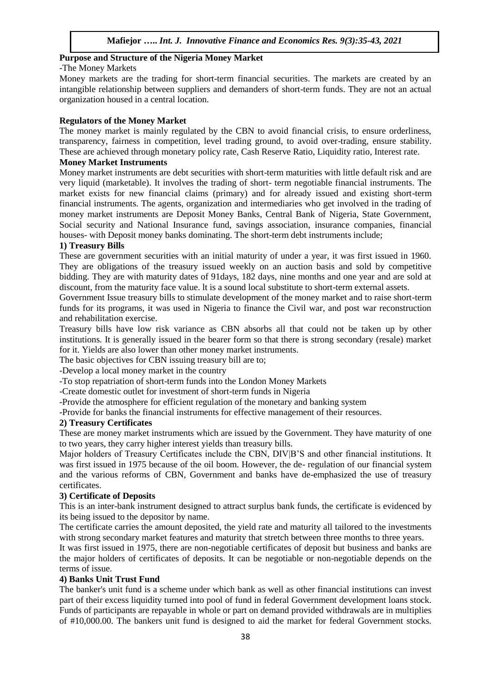### **Purpose and Structure of the Nigeria Money Market**

### -The Money Markets

Money markets are the trading for short-term financial securities. The markets are created by an intangible relationship between suppliers and demanders of short-term funds. They are not an actual organization housed in a central location.

### **Regulators of the Money Market**

The money market is mainly regulated by the CBN to avoid financial crisis, to ensure orderliness, transparency, fairness in competition, level trading ground, to avoid over-trading, ensure stability. These are achieved through monetary policy rate, Cash Reserve Ratio, Liquidity ratio, Interest rate.

### **Money Market Instruments**

Money market instruments are debt securities with short-term maturities with little default risk and are very liquid (marketable). It involves the trading of short- term negotiable financial instruments. The market exists for new financial claims (primary) and for already issued and existing short-term financial instruments. The agents, organization and intermediaries who get involved in the trading of money market instruments are Deposit Money Banks, Central Bank of Nigeria, State Government, Social security and National Insurance fund, savings association, insurance companies, financial houses- with Deposit money banks dominating. The short-term debt instruments include;

## **1) Treasury Bills**

These are government securities with an initial maturity of under a year, it was first issued in 1960. They are obligations of the treasury issued weekly on an auction basis and sold by competitive bidding. They are with maturity dates of 91days, 182 days, nine months and one year and are sold at discount, from the maturity face value. lt is a sound local substitute to short-term external assets.

Government Issue treasury bills to stimulate development of the money market and to raise short-term funds for its programs, it was used in Nigeria to finance the Civil war, and post war reconstruction and rehabilitation exercise.

Treasury bills have low risk variance as CBN absorbs all that could not be taken up by other institutions. It is generally issued in the bearer form so that there is strong secondary (resale) market for it. Yields are also lower than other money market instruments.

The basic objectives for CBN issuing treasury bill are to;

-Develop a local money market in the country

-To stop repatriation of short-term funds into the London Money Markets

-Create domestic outlet for investment of short-term funds in Nigeria

-Provide the atmosphere for efficient regulation of the monetary and banking system

-Provide for banks the financial instruments for effective management of their resources.

### **2) Treasury Certificates**

These are money market instruments which are issued by the Government. They have maturity of one to two years, they carry higher interest yields than treasury bills.

Major holders of Treasury Certificates include the CBN, DIV|B'S and other financial institutions. It was first issued in 1975 because of the oil boom. However, the de- regulation of our financial system and the various reforms of CBN, Government and banks have de-emphasized the use of treasury certificates.

## **3) Certificate of Deposits**

This is an inter-bank instrument designed to attract surplus bank funds, the certificate is evidenced by its being issued to the depositor by name.

The certificate carries the amount deposited, the yield rate and maturity all tailored to the investments with strong secondary market features and maturity that stretch between three months to three years.

It was first issued in 1975, there are non-negotiable certificates of deposit but business and banks are the major holders of certificates of deposits. It can be negotiable or non-negotiable depends on the terms of issue.

## **4) Banks Unit Trust Fund**

The banker's unit fund is a scheme under which bank as well as other financial institutions can invest part of their excess liquidity turned into pool of fund in federal Government development loans stock. Funds of participants are repayable in whole or part on demand provided withdrawals are in multiplies of #10,000.00. The bankers unit fund is designed to aid the market for federal Government stocks.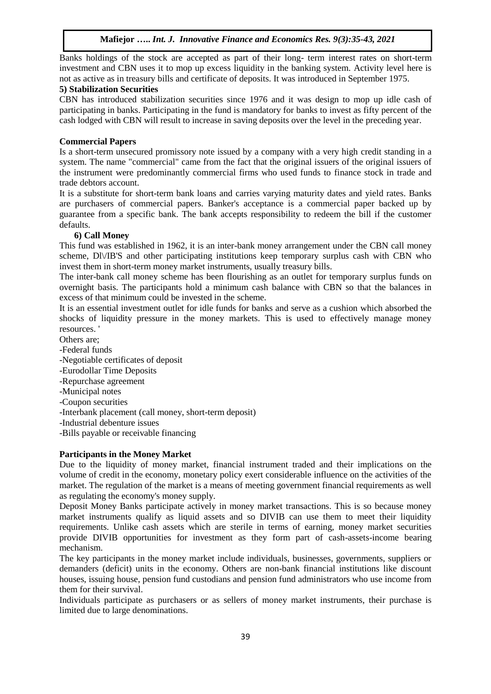Banks holdings of the stock are accepted as part of their long- term interest rates on short-term investment and CBN uses it to mop up excess liquidity in the banking system. Activity level here is not as active as in treasury bills and certificate of deposits. It was introduced in September 1975.

# **5) Stabilization Securities**

CBN has introduced stabilization securities since 1976 and it was design to mop up idle cash of participating in banks. Participating in the fund is mandatory for banks to invest as fifty percent of the cash lodged with CBN will result to increase in saving deposits over the level in the preceding year.

# **Commercial Papers**

Is a short-term unsecured promissory note issued by a company with a very high credit standing in a system. The name "commercial" came from the fact that the original issuers of the original issuers of the instrument were predominantly commercial firms who used funds to finance stock in trade and trade debtors account.

It is a substitute for short-term bank loans and carries varying maturity dates and yield rates. Banks are purchasers of commercial papers. Banker's acceptance is a commercial paper backed up by guarantee from a specific bank. The bank accepts responsibility to redeem the bill if the customer defaults.

# **6) Call Money**

This fund was established in 1962, it is an inter-bank money arrangement under the CBN call money scheme, Dl $\lor$ IB'S and other participating institutions keep temporary surplus cash with CBN who invest them in short-term money market instruments, usually treasury bills.

The inter-bank call money scheme has been flourishing as an outlet for temporary surplus funds on overnight basis. The participants hold a minimum cash balance with CBN so that the balances in excess of that minimum could be invested in the scheme.

It is an essential investment outlet for idle funds for banks and serve as a cushion which absorbed the shocks of liquidity pressure in the money markets. This is used to effectively manage money resources. '

- Others are;
- -Federal funds
- -Negotiable certificates of deposit
- -Eurodollar Time Deposits
- -Repurchase agreement
- -Municipal notes
- -Coupon securities
- -Interbank placement (call money, short-term deposit)
- -Industrial debenture issues
- -Bills payable or receivable financing

# **Participants in the Money Market**

Due to the liquidity of money market, financial instrument traded and their implications on the volume of credit in the economy, monetary policy exert considerable influence on the activities of the market. The regulation of the market is a means of meeting government financial requirements as well as regulating the economy's money supply.

Deposit Money Banks participate actively in money market transactions. This is so because money market instruments qualify as liquid assets and so DIVIB can use them to meet their liquidity requirements. Unlike cash assets which are sterile in terms of earning, money market securities provide DIVIB opportunities for investment as they form part of cash-assets-income bearing mechanism.

The key participants in the money market include individuals, businesses, governments, suppliers or demanders (deficit) units in the economy. Others are non-bank financial institutions like discount houses, issuing house, pension fund custodians and pension fund administrators who use income from them for their survival.

Individuals participate as purchasers or as sellers of money market instruments, their purchase is limited due to large denominations.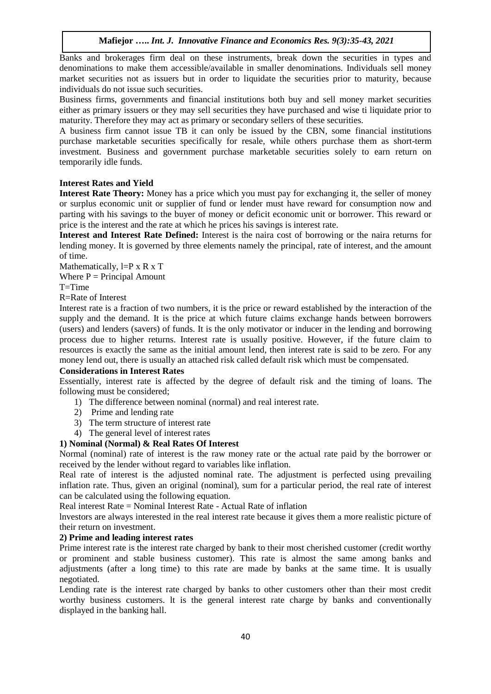Banks and brokerages firm deal on these instruments, break down the securities in types and denominations to make them accessible/available in smaller denominations. Individuals sell money market securities not as issuers but in order to liquidate the securities prior to maturity, because individuals do not issue such securities.

Business firms, governments and financial institutions both buy and sell money market securities either as primary issuers or they may sell securities they have purchased and wise ti liquidate prior to maturity. Therefore they may act as primary or secondary sellers of these securities.

A business firm cannot issue TB it can only be issued by the CBN, some financial institutions purchase marketable securities specifically for resale, while others purchase them as short-term investment. Business and government purchase marketable securities solely to earn return on temporarily idle funds.

# **Interest Rates and Yield**

**Interest Rate Theory:** Money has a price which you must pay for exchanging it, the seller of money or surplus economic unit or supplier of fund or lender must have reward for consumption now and parting with his savings to the buyer of money or deficit economic unit or borrower. This reward or price is the interest and the rate at which he prices his savings is interest rate.

**Interest and Interest Rate Defined:** Interest is the naira cost of borrowing or the naira returns for lending money. It is governed by three elements namely the principal, rate of interest, and the amount of time.

Mathematically,  $l = P \times R \times T$ Where  $P = Principal$  Amount

 $T=T$ ime

R=Rate of Interest

Interest rate is a fraction of two numbers, it is the price or reward established by the interaction of the supply and the demand. It is the price at which future claims exchange hands between borrowers (users) and lenders (savers) of funds. It is the only motivator or inducer in the lending and borrowing process due to higher returns. Interest rate is usually positive. However, if the future claim to resources is exactly the same as the initial amount lend, then interest rate is said to be zero. For any money lend out, there is usually an attached risk called default risk which must be compensated.

## **Considerations in Interest Rates**

Essentially, interest rate is affected by the degree of default risk and the timing of loans. The following must be considered;

- 1) The difference between nominal (normal) and real interest rate.
- 2) Prime and lending rate
- 3) The term structure of interest rate
- 4) The general level of interest rates

### **1) Nominal (Normal) & Real Rates Of Interest**

Normal (nominal) rate of interest is the raw money rate or the actual rate paid by the borrower or received by the lender without regard to variables like inflation.

Real rate of interest is the adjusted nominal rate. The adjustment is perfected using prevailing inflation rate. Thus, given an original (nominal), sum for a particular period, the real rate of interest can be calculated using the following equation.

Real interest Rate = Nominal Interest Rate - Actual Rate of inflation

lnvestors are always interested in the real interest rate because it gives them a more realistic picture of their return on investment.

## **2) Prime and leading interest rates**

Prime interest rate is the interest rate charged by bank to their most cherished customer (credit worthy or prominent and stable business customer). This rate is almost the same among banks and adjustments (after a long time) to this rate are made by banks at the same time. It is usually negotiated.

Lending rate is the interest rate charged by banks to other customers other than their most credit worthy business customers. lt is the general interest rate charge by banks and conventionally displayed in the banking hall.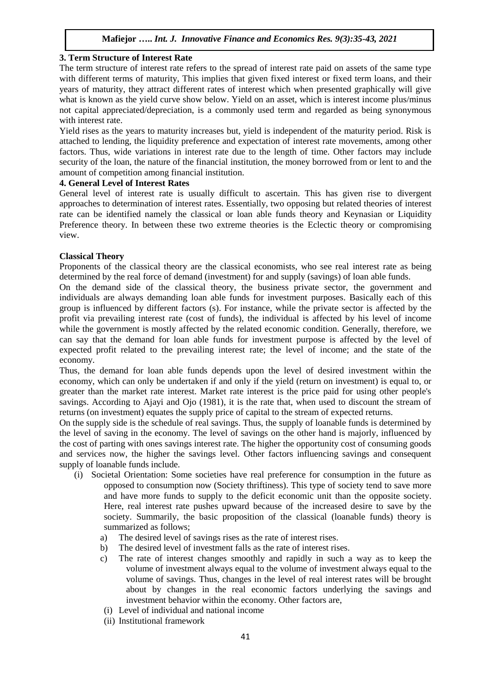### **Mafiejor …..** *Int. J. Innovative Finance and Economics Res. 9(3):35-43, 2021*

### **3. Term Structure of Interest Rate**

The term structure of interest rate refers to the spread of interest rate paid on assets of the same type with different terms of maturity, This implies that given fixed interest or fixed term loans, and their years of maturity, they attract different rates of interest which when presented graphically will give what is known as the yield curve show below. Yield on an asset, which is interest income plus/minus not capital appreciated/depreciation, is a commonly used term and regarded as being synonymous with interest rate.

Yield rises as the years to maturity increases but, yield is independent of the maturity period. Risk is attached to lending, the liquidity preference and expectation of interest rate movements, among other factors. Thus, wide variations in interest rate due to the length of time. Other factors may include security of the loan, the nature of the financial institution, the money borrowed from or lent to and the amount of competition among financial institution.

### **4. General Level of Interest Rates**

General level of interest rate is usually difficult to ascertain. This has given rise to divergent approaches to determination of interest rates. Essentially, two opposing but related theories of interest rate can be identified namely the classical or loan able funds theory and Keynasian or Liquidity Preference theory. In between these two extreme theories is the Eclectic theory or compromising view.

#### **Classical Theory**

Proponents of the classical theory are the classical economists, who see real interest rate as being determined by the real force of demand (investment) for and supply (savings) of loan able funds.

On the demand side of the classical theory, the business private sector, the government and individuals are always demanding loan able funds for investment purposes. Basically each of this group is influenced by different factors (s). For instance, while the private sector is affected by the profit via prevailing interest rate (cost of funds), the individual is affected by his level of income while the government is mostly affected by the related economic condition. Generally, therefore, we can say that the demand for loan able funds for investment purpose is affected by the level of expected profit related to the prevailing interest rate; the level of income; and the state of the economy.

Thus, the demand for loan able funds depends upon the level of desired investment within the economy, which can only be undertaken if and only if the yield (return on investment) is equal to, or greater than the market rate interest. Market rate interest is the price paid for using other people's savings. According to Ajayi and Ojo (1981), it is the rate that, when used to discount the stream of returns (on investment) equates the supply price of capital to the stream of expected returns.

On the supply side is the schedule of real savings. Thus, the supply of loanable funds is determined by the level of saving in the economy. The level of savings on the other hand is majorly, influenced by the cost of parting with ones savings interest rate. The higher the opportunity cost of consuming goods and services now, the higher the savings level. Other factors influencing savings and consequent supply of loanable funds include.

- (i) Societal Orientation: Some societies have real preference for consumption in the future as opposed to consumption now (Society thriftiness). This type of society tend to save more and have more funds to supply to the deficit economic unit than the opposite society. Here, real interest rate pushes upward because of the increased desire to save by the society. Summarily, the basic proposition of the classical (loanable funds) theory is summarized as follows;
	- a) The desired level of savings rises as the rate of interest rises.
	- b) The desired level of investment falls as the rate of interest rises.
	- c) The rate of interest changes smoothly and rapidly in such a way as to keep the volume of investment always equal to the volume of investment always equal to the volume of savings. Thus, changes in the level of real interest rates will be brought about by changes in the real economic factors underlying the savings and investment behavior within the economy. Other factors are,
	- (i) Level of individual and national income
	- (ii) Institutional framework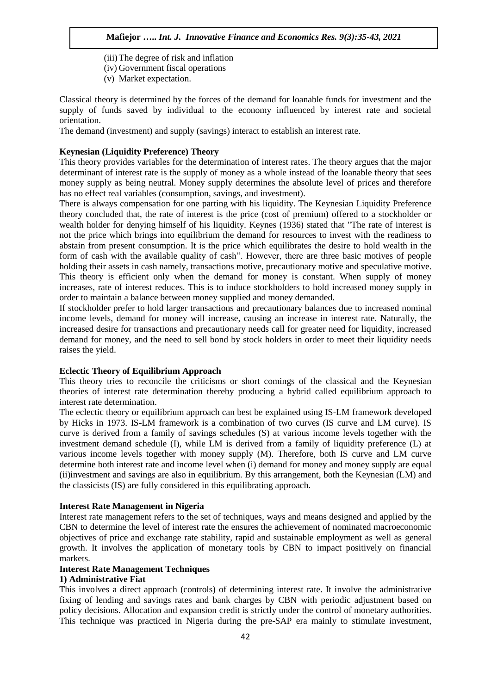(iii)The degree of risk and inflation (iv) Government fiscal operations (v) Market expectation.

Classical theory is determined by the forces of the demand for loanable funds for investment and the supply of funds saved by individual to the economy influenced by interest rate and societal orientation.

The demand (investment) and supply (savings) interact to establish an interest rate.

### **Keynesian (Liquidity Preference) Theory**

This theory provides variables for the determination of interest rates. The theory argues that the major determinant of interest rate is the supply of money as a whole instead of the loanable theory that sees money supply as being neutral. Money supply determines the absolute level of prices and therefore has no effect real variables (consumption, savings, and investment).

There is always compensation for one parting with his liquidity. The Keynesian Liquidity Preference theory concluded that, the rate of interest is the price (cost of premium) offered to a stockholder or wealth holder for denying himself of his liquidity. Keynes (1936) stated that "The rate of interest is not the price which brings into equilibrium the demand for resources to invest with the readiness to abstain from present consumption. It is the price which equilibrates the desire to hold wealth in the form of cash with the available quality of cash". However, there are three basic motives of people holding their assets in cash namely, transactions motive, precautionary motive and speculative motive. This theory is efficient only when the demand for money is constant. When supply of money increases, rate of interest reduces. This is to induce stockholders to hold increased money supply in order to maintain a balance between money supplied and money demanded.

If stockholder prefer to hold larger transactions and precautionary balances due to increased nominal income levels, demand for money will increase, causing an increase in interest rate. Naturally, the increased desire for transactions and precautionary needs call for greater need for liquidity, increased demand for money, and the need to sell bond by stock holders in order to meet their liquidity needs raises the yield.

# **Eclectic Theory of Equilibrium Approach**

This theory tries to reconcile the criticisms or short comings of the classical and the Keynesian theories of interest rate determination thereby producing a hybrid called equilibrium approach to interest rate determination.

The eclectic theory or equilibrium approach can best be explained using IS-LM framework developed by Hicks in 1973. IS-LM framework is a combination of two curves (IS curve and LM curve). IS curve is derived from a family of savings schedules (S) at various income levels together with the investment demand schedule (I), while LM is derived from a family of liquidity preference (L) at various income levels together with money supply (M). Therefore, both IS curve and LM curve determine both interest rate and income level when (i) demand for money and money supply are equal (ii)investment and savings are also in equilibrium. By this arrangement, both the Keynesian (LM) and the classicists (IS) are fully considered in this equilibrating approach.

#### **Interest Rate Management in Nigeria**

Interest rate management refers to the set of techniques, ways and means designed and applied by the CBN to determine the level of interest rate the ensures the achievement of nominated macroeconomic objectives of price and exchange rate stability, rapid and sustainable employment as well as general growth. It involves the application of monetary tools by CBN to impact positively on financial markets.

#### **Interest Rate Management Techniques**

### **1) Administrative Fiat**

This involves a direct approach (controls) of determining interest rate. It involve the administrative fixing of lending and savings rates and bank charges by CBN with periodic adjustment based on policy decisions. Allocation and expansion credit is strictly under the control of monetary authorities. This technique was practiced in Nigeria during the pre-SAP era mainly to stimulate investment,